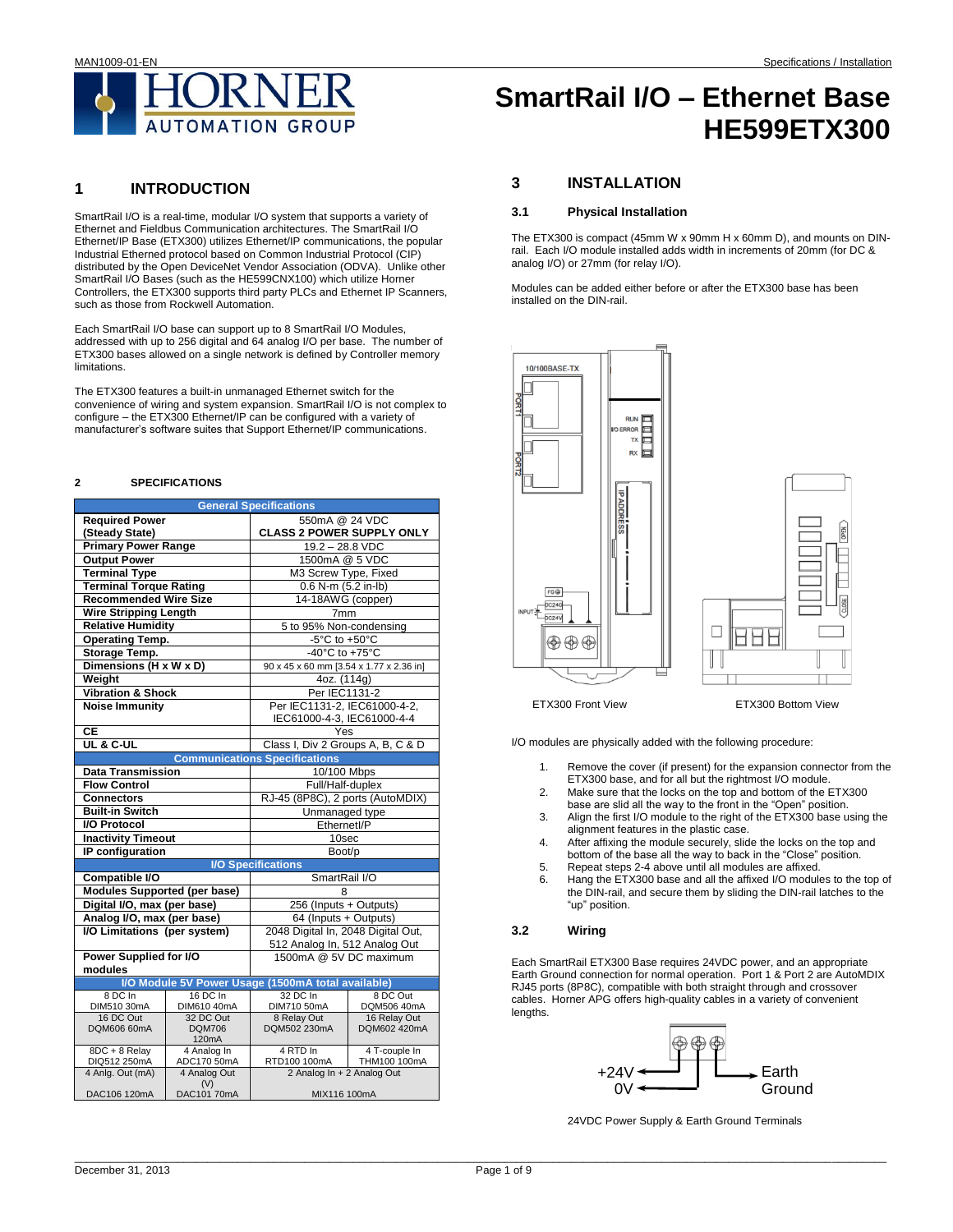

## **1 INTRODUCTION**

SmartRail I/O is a real-time, modular I/O system that supports a variety of Ethernet and Fieldbus Communication architectures. The SmartRail I/O Ethernet/IP Base (ETX300) utilizes Ethernet/IP communications, the popular Industrial Etherned protocol based on Common Industrial Protocol (CIP) distributed by the Open DeviceNet Vendor Association (ODVA). Unlike other SmartRail I/O Bases (such as the HE599CNX100) which utilize Horner Controllers, the ETX300 supports third party PLCs and Ethernet IP Scanners, such as those from Rockwell Automation.

Each SmartRail I/O base can support up to 8 SmartRail I/O Modules, addressed with up to 256 digital and 64 analog I/O per base. The number of ETX300 bases allowed on a single network is defined by Controller memory **limitations** 

The ETX300 features a built-in unmanaged Ethernet switch for the convenience of wiring and system expansion. SmartRail I/O is not complex to configure – the ETX300 Ethernet/IP can be configured with a variety of manufacturer's software suites that Support Ethernet/IP communications.

### **2 SPECIFICATIONS**

|                                     |                             | <b>General Specifications</b>                      |                         |  |  |  |  |
|-------------------------------------|-----------------------------|----------------------------------------------------|-------------------------|--|--|--|--|
| <b>Required Power</b>               |                             | 550mA @ 24 VDC                                     |                         |  |  |  |  |
| (Steady State)                      |                             | <b>CLASS 2 POWER SUPPLY ONLY</b>                   |                         |  |  |  |  |
| <b>Primary Power Range</b>          |                             | $19.2 - 28.8$ VDC                                  |                         |  |  |  |  |
| <b>Output Power</b>                 |                             | 1500mA @ 5 VDC                                     |                         |  |  |  |  |
| <b>Terminal Type</b>                |                             | M3 Screw Type, Fixed                               |                         |  |  |  |  |
| <b>Terminal Torque Rating</b>       |                             | 0.6 N-m (5.2 in-lb)                                |                         |  |  |  |  |
| <b>Recommended Wire Size</b>        |                             | 14-18AWG (copper)                                  |                         |  |  |  |  |
| <b>Wire Stripping Length</b>        |                             | 7mm                                                |                         |  |  |  |  |
| <b>Relative Humidity</b>            |                             | 5 to 95% Non-condensing                            |                         |  |  |  |  |
| <b>Operating Temp.</b>              |                             | -5°C to +50°C                                      |                         |  |  |  |  |
| Storage Temp.                       |                             | $-40^{\circ}$ C to +75°C                           |                         |  |  |  |  |
| Dimensions (H x W x D)              |                             | 90 x 45 x 60 mm [3.54 x 1.77 x 2.36 in]            |                         |  |  |  |  |
| Weight                              |                             | 4oz. (114g)                                        |                         |  |  |  |  |
| <b>Vibration &amp; Shock</b>        |                             | Per IEC1131-2                                      |                         |  |  |  |  |
| <b>Noise Immunity</b>               |                             | Per IEC1131-2, IEC61000-4-2,                       |                         |  |  |  |  |
|                                     |                             | IEC61000-4-3, IEC61000-4-4                         |                         |  |  |  |  |
| $\overline{CE}$                     |                             | Yes                                                |                         |  |  |  |  |
| UL & C-UL                           |                             | Class I, Div 2 Groups A, B, C & D                  |                         |  |  |  |  |
|                                     |                             | <b>Communications Specifications</b>               |                         |  |  |  |  |
| <b>Data Transmission</b>            |                             | 10/100 Mbps                                        |                         |  |  |  |  |
| <b>Flow Control</b>                 |                             | Full/Half-duplex                                   |                         |  |  |  |  |
| <b>Connectors</b>                   |                             | RJ-45 (8P8C), 2 ports (AutoMDIX)                   |                         |  |  |  |  |
| <b>Built-in Switch</b>              |                             | Unmanaged type                                     |                         |  |  |  |  |
| <b>I/O Protocol</b>                 |                             | Ethernetl/P                                        |                         |  |  |  |  |
| <b>Inactivity Timeout</b>           |                             | 10sec                                              |                         |  |  |  |  |
| IP configuration                    |                             | Boot/p                                             |                         |  |  |  |  |
|                                     |                             | <b>I/O Specifications</b>                          |                         |  |  |  |  |
| Compatible I/O                      |                             | SmartRail I/O                                      |                         |  |  |  |  |
| <b>Modules Supported (per base)</b> |                             | 8                                                  |                         |  |  |  |  |
| Digital I/O, max (per base)         |                             | 256 (Inputs + Outputs)                             |                         |  |  |  |  |
| Analog I/O, max (per base)          |                             | 64 (Inputs + Outputs)                              |                         |  |  |  |  |
| I/O Limitations (per system)        |                             | 2048 Digital In, 2048 Digital Out,                 |                         |  |  |  |  |
|                                     |                             | 512 Analog In, 512 Analog Out                      |                         |  |  |  |  |
| Power Supplied for I/O              |                             | 1500mA @ 5V DC maximum                             |                         |  |  |  |  |
| modules                             |                             |                                                    |                         |  |  |  |  |
|                                     |                             | I/O Module 5V Power Usage (1500mA total available) |                         |  |  |  |  |
| 8 DC In<br>DIM510 30mA              | 16 DC In<br>DIM610 40mA     | 32 DC In<br>DIM710 50mA                            | 8 DC Out<br>DQM506 40mA |  |  |  |  |
| 16 DC Out                           | 32 DC Out                   | 8 Relay Out                                        | 16 Relay Out            |  |  |  |  |
| DQM606 60mA                         | <b>DQM706</b>               | DQM502 230mA                                       | DQM602 420mA            |  |  |  |  |
|                                     | 120mA                       |                                                    |                         |  |  |  |  |
| 8DC + 8 Relay                       | 4 Analog In                 | 4 RTD In                                           | 4 T-couple In           |  |  |  |  |
| DIQ512 250mA<br>4 Anlg. Out (mA)    | ADC170 50mA<br>4 Analog Out | RTD100 100mA<br>2 Analog In + 2 Analog Out         | THM100 100mA            |  |  |  |  |
|                                     | (V)                         |                                                    |                         |  |  |  |  |
| DAC106 120mA                        | DAC101 70mA                 | MIX116 100mA                                       |                         |  |  |  |  |

# **SmartRail I/O – Ethernet Base HE599ETX300**

## **3 INSTALLATION**

## **3.1 Physical Installation**

The ETX300 is compact (45mm W x 90mm H x 60mm D), and mounts on DINrail. Each I/O module installed adds width in increments of 20mm (for DC & analog I/O) or 27mm (for relay I/O).

Modules can be added either before or after the ETX300 base has been installed on the DIN-rail.



ETX300 Front View ETX300 Bottom View

I/O modules are physically added with the following procedure: !

- 1. Remove the cover (if present) for the expansion connector from the ETX300 base, and for all but the rightmost I/O module.
- 2. Make sure that the locks on the top and bottom of the ETX300 base are slid all the way to the front in the "Open" position.
- 3. Align the first I/O module to the right of the ETX300 base using the alignment features in the plastic case.
- 4. After affixing the module securely, slide the locks on the top and bottom of the base all the way to back in the "Close" position.
- 5. Repeat steps 2-4 above until all modules are affixed.<br>6. Hang the ETX300 base and all the affixed I/O module
- Hang the ETX300 base and all the affixed I/O modules to the top of the DIN-rail, and secure them by sliding the DIN-rail latches to the "up" position.

## **3.2 Wiring**

Each SmartRail ETX300 Base requires 24VDC power, and an appropriate Earth Ground connection for normal operation. Port 1 & Port 2 are AutoMDIX RJ45 ports (8P8C), compatible with both straight through and crossover cables. Horner APG offers high-quality cables in a variety of convenient lengths.



24VDC Power Supply & Earth Ground Terminals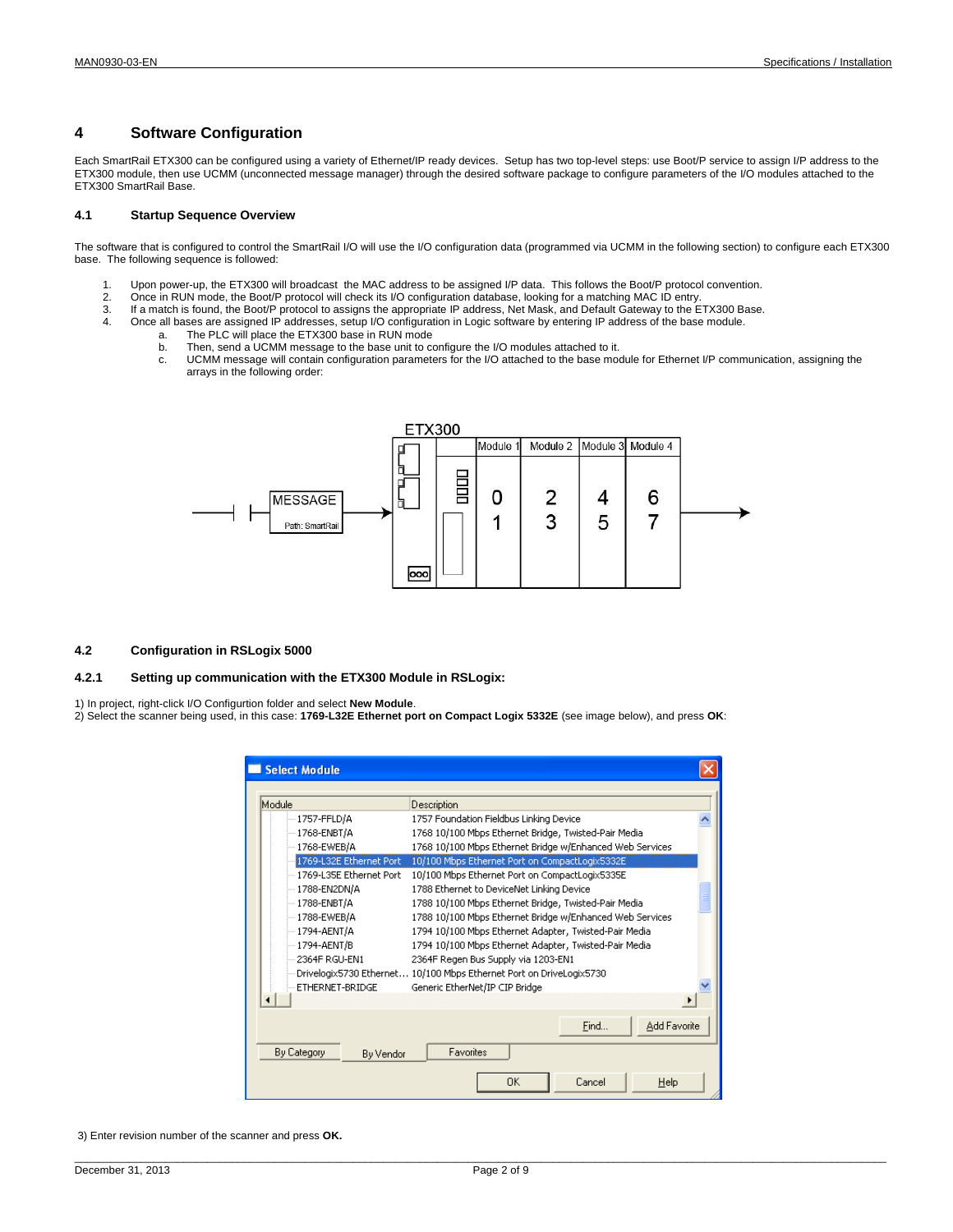## **4 Software Configuration**

Each SmartRail ETX300 can be configured using a variety of Ethernet/IP ready devices. Setup has two top-level steps: use Boot/P service to assign I/P address to the ETX300 module, then use UCMM (unconnected message manager) through the desired software package to configure parameters of the I/O modules attached to the ETX300 SmartRail Base.

## **4.1 Startup Sequence Overview**

The software that is configured to control the SmartRail I/O will use the I/O configuration data (programmed via UCMM in the following section) to configure each ETX300 base. The following sequence is followed:

- 1. Upon power-up, the ETX300 will broadcast the MAC address to be assigned I/P data. This follows the Boot/P protocol convention.
- 2. Once in RUN mode, the Boot/P protocol will check its I/O configuration database, looking for a matching MAC ID entry.
- 3. If a match is found, the Boot/P protocol to assigns the appropriate IP address, Net Mask, and Default Gateway to the ETX300 Base.
- 4. Once all bases are assigned IP addresses, setup I/O configuration in Logic software by entering IP address of the base module.
	- a. The PLC will place the ETX300 base in RUN mode
		- b. Then, send a UCMM message to the base unit to configure the I/O modules attached to it.
		- c. UCMM message will contain configuration parameters for the I/O attached to the base module for Ethernet I/P communication, assigning the arrays in the following order:



#### **4.2 Configuration in RSLogix 5000**

## **4.2.1 Setting up communication with the ETX300 Module in RSLogix:**

1) In project, right-click I/O Configurtion folder and select **New Module**.

2) Select the scanner being used, in this case: **1769-L32E Ethernet port on Compact Logix 5332E** (see image below), and press **OK**:

| <b>Select Module</b>                                                                                                                                                                       |                                                                                                                                                                                                                                                                                                                                                                                                                                                                                                                                     |  |  |  |  |  |
|--------------------------------------------------------------------------------------------------------------------------------------------------------------------------------------------|-------------------------------------------------------------------------------------------------------------------------------------------------------------------------------------------------------------------------------------------------------------------------------------------------------------------------------------------------------------------------------------------------------------------------------------------------------------------------------------------------------------------------------------|--|--|--|--|--|
| Module                                                                                                                                                                                     | Description                                                                                                                                                                                                                                                                                                                                                                                                                                                                                                                         |  |  |  |  |  |
| $-1757$ -FFLD/A<br>-- 1768-ENBT/A<br>-- 1768-EWEB/A                                                                                                                                        | 1757 Foundation Fieldbus Linking Device<br>1768 10/100 Mbps Ethernet Bridge, Twisted-Pair Media<br>1768 10/100 Mbps Ethernet Bridge w/Enhanced Web Services                                                                                                                                                                                                                                                                                                                                                                         |  |  |  |  |  |
| 1769-L32E Ethernet Port<br>- 1769-L35E Ethernet Port<br>$-1788 - EN2DN/A$<br>$-1788$ -ENBT/A<br>$-1788$ -EWEB/A<br>$-1794$ -AENT/A<br>$-1794$ -AENT/B<br>2364F RGLI-EN1<br>ETHERNET-BRIDGE | 10/100 Mbps Ethernet Port on CompactLogix5332E<br>10/100 Mbps Ethernet Port on CompactLogix5335E<br>1788 Ethernet to DeviceNet Linking Device<br>1788 10/100 Mbps Ethernet Bridge, Twisted-Pair Media<br>1788 10/100 Mbps Ethernet Bridge w/Enhanced Web Services<br>1794 10/100 Mbps Ethernet Adapter, Twisted-Pair Media<br>1794 10/100 Mbps Ethernet Adapter, Twisted-Pair Media<br>2364F Regen Bus Supply via 1203-EN1<br>Drivelogix5730 Ethernet 10/100 Mbps Ethernet Port on DriveLogix5730<br>Generic EtherNet/IP CIP Bridge |  |  |  |  |  |
|                                                                                                                                                                                            |                                                                                                                                                                                                                                                                                                                                                                                                                                                                                                                                     |  |  |  |  |  |
|                                                                                                                                                                                            | Add Favorite<br>Find                                                                                                                                                                                                                                                                                                                                                                                                                                                                                                                |  |  |  |  |  |
| By Category<br>By Vendor                                                                                                                                                                   | Favorites                                                                                                                                                                                                                                                                                                                                                                                                                                                                                                                           |  |  |  |  |  |
|                                                                                                                                                                                            | 0K<br>Cancel<br>Help                                                                                                                                                                                                                                                                                                                                                                                                                                                                                                                |  |  |  |  |  |

3) Enter revision number of the scanner and press **OK.**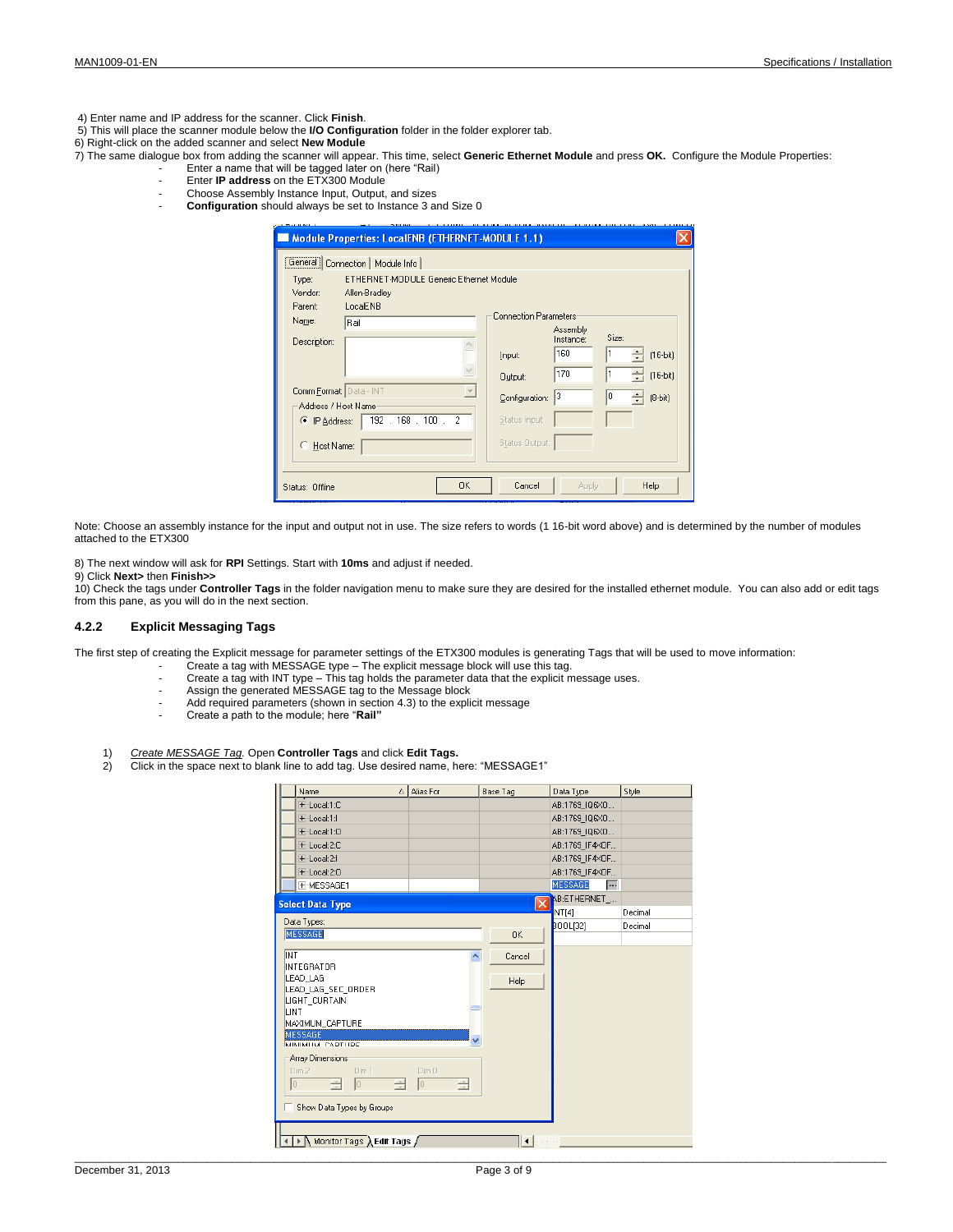4) Enter name and IP address for the scanner. Click **Finish**.

- 5) This will place the scanner module below the **I/O Configuration** folder in the folder explorer tab.
- 6) Right-click on the added scanner and select **New Module**
- 7) The same dialogue box from adding the scanner will appear. This time, select **Generic Ethernet Module** and press **OK.** Configure the Module Properties: Enter a name that will be tagged later on (here "Rail)
	- Enter **IP address** on the ETX300 Module
	- Choose Assembly Instance Input, Output, and sizes
	- **Configuration** should always be set to Instance 3 and Size 0

| Type:                                          | General   Connection   Module Info<br>ETHERNET-MODULE Generic Ethernet Module |                |                       |       |            |  |  |  |  |  |
|------------------------------------------------|-------------------------------------------------------------------------------|----------------|-----------------------|-------|------------|--|--|--|--|--|
| Vendor:<br>Allen-Bradley                       |                                                                               |                |                       |       |            |  |  |  |  |  |
| Parent:<br>Name:                               | LocalENB<br><b>Connection Parameters</b><br>Rail                              |                |                       |       |            |  |  |  |  |  |
| Description:                                   |                                                                               |                | Assembly<br>Instance: | Size: |            |  |  |  |  |  |
|                                                |                                                                               | Input:         | 160                   |       | $[16-bi]$  |  |  |  |  |  |
|                                                |                                                                               | Output:        | 170                   |       | $[16-bit]$ |  |  |  |  |  |
| Comm Format: Data - INT<br>Address / Host Name | $\overline{\phantom{m}}$                                                      | Configuration: | l3                    | lo.   | $(8-bit)$  |  |  |  |  |  |
| <sup>•</sup> IP Address:                       | 192 . 168 . 100 . 2                                                           | Status Input:  |                       |       |            |  |  |  |  |  |
| C<br>Host Name:                                |                                                                               | Status Output: |                       |       |            |  |  |  |  |  |

Note: Choose an assembly instance for the input and output not in use. The size refers to words (1 16-bit word above) and is determined by the number of modules attached to the ETX300

8) The next window will ask for **RPI** Settings. Start with **10ms** and adjust if needed.

## 9) Click **Next>** then **Finish>>**

10) Check the tags under **Controller Tags** in the folder navigation menu to make sure they are desired for the installed ethernet module. You can also add or edit tags from this pane, as you will do in the next section.

## **4.2.2 Explicit Messaging Tags**

The first step of creating the Explicit message for parameter settings of the ETX300 modules is generating Tags that will be used to move information:

- Create a tag with MESSAGE type The explicit message block will use this tag.
- Create a tag with INT type This tag holds the parameter data that the explicit message uses.
- Assign the generated MESSAGE tag to the Message block
- Add required parameters (shown in section 4.3) to the explicit message
- Create a path to the module; here "**Rail"**
- 1) *Create MESSAGE Tag.* Open **Controller Tags** and click **Edit Tags.**
- 2) Click in the space next to blank line to add tag. Use desired name, here: "MESSAGE1"

| Name                                    | △ Alias For                | Base Tag                | Data Type                               | Style   |
|-----------------------------------------|----------------------------|-------------------------|-----------------------------------------|---------|
| + Local:1:C                             |                            |                         | AB:1769 IQ6X0                           |         |
| + Local:1:1                             |                            |                         | AB:1769 IQ6X0                           |         |
| + Local:1:0                             |                            |                         | AB:1769 IQ6X0                           |         |
| + Local:2:C                             |                            |                         | AB:1769 IF4XOF                          |         |
| + Local:2:1                             |                            |                         | AB:1769 IF4XOF                          |         |
| + Local:2:0                             |                            |                         | AB:1769 IF4XOF                          |         |
| <b>FI-MESSAGE1</b>                      |                            |                         | <b>MESSAGE</b><br>⊶                     |         |
| <b>Select Data Type</b>                 |                            |                         | AB:ETHERNET_<br>$\overline{\mathsf{x}}$ |         |
|                                         |                            |                         | NT[4]                                   | Decimal |
| Data Types:                             |                            |                         | <b>BOOL[32]</b>                         | Decimal |
| <b>MESSAGE</b>                          |                            | 0K                      |                                         |         |
| INT                                     |                            | ٨<br>Cancel             |                                         |         |
| INTEGRATOR                              |                            |                         |                                         |         |
| LEAD LAG                                |                            | Help                    |                                         |         |
| LEAD LAG SEC ORDER                      |                            |                         |                                         |         |
| LIGHT_CURTAIN<br>LINT.                  |                            |                         |                                         |         |
| MAXIMUM_CAPTURE                         |                            |                         |                                         |         |
| <b>MESSAGE</b>                          |                            |                         |                                         |         |
| MINIMUM CADTUDE                         |                            | $\overline{\mathbf{v}}$ |                                         |         |
| Array Dimensions                        |                            |                         |                                         |         |
| $Dim2 -$<br>Dim 1                       | Dim 0                      |                         |                                         |         |
| lo.<br>$\frac{1}{\sqrt{2}}$<br><b>O</b> | $\frac{1}{\sqrt{2}}$<br> 0 | 즢                       |                                         |         |
|                                         |                            |                         |                                         |         |
| Show Data Types by Groups               |                            |                         |                                         |         |
|                                         |                            |                         |                                         |         |
| Monitor Tags Ledit Tags                 |                            | $\vert \cdot \vert$     |                                         |         |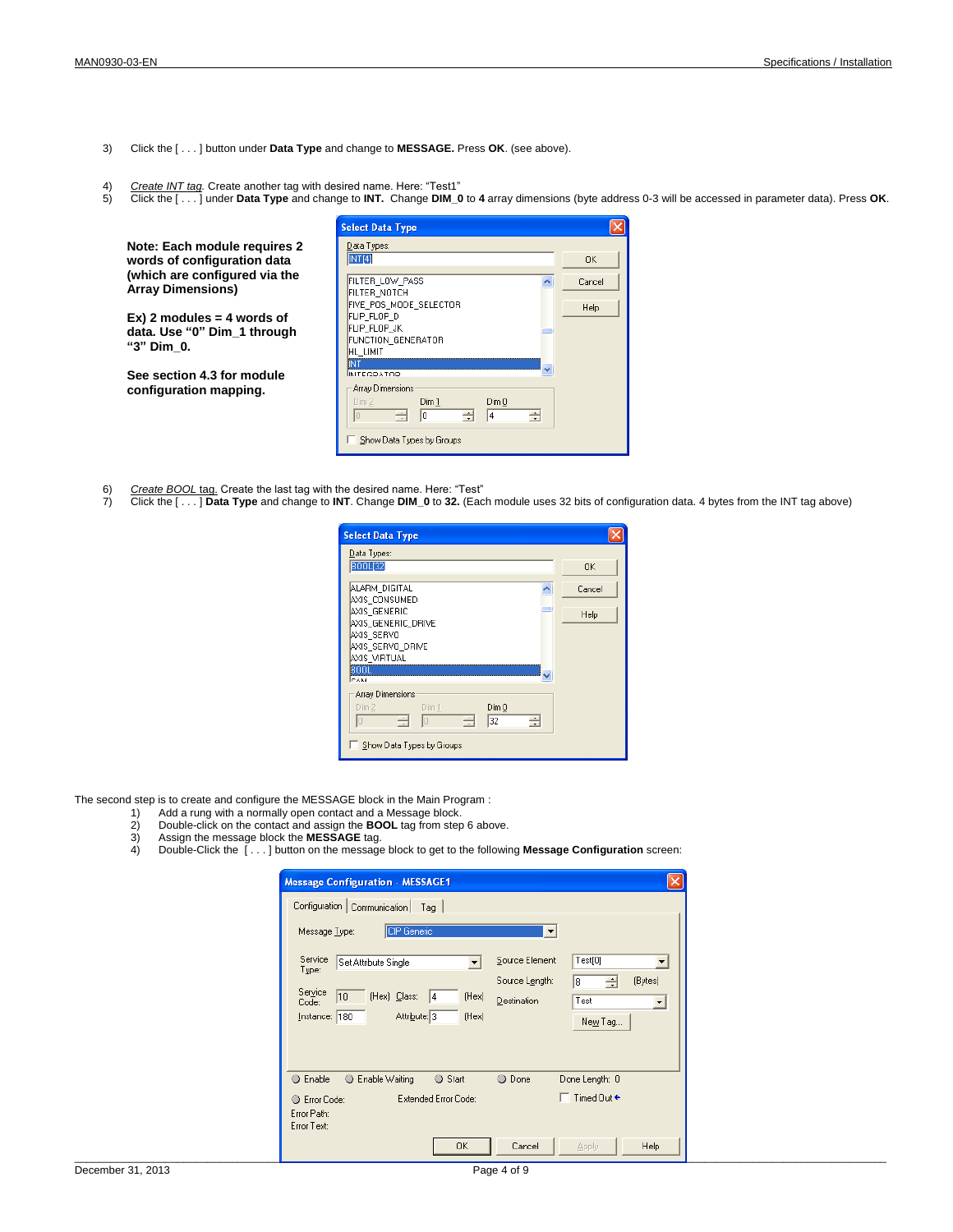- 3) Click the [ . . . ] button under **Data Type** and change to **MESSAGE.** Press **OK**. (see above).
- 
- 4) Create INT tag. Create another tag with desired name. Here: "Test1"<br>5) Click the […] under **Data Type** and change to **INT.** Change **DIM\_0** to 4 array dimensions (byte address 0-3 will be accessed in parameter data). Pre

|                                                           | <b>Select Data Type</b>                                          |             |
|-----------------------------------------------------------|------------------------------------------------------------------|-------------|
| Note: Each module requires 2                              | Data Types:                                                      |             |
| words of configuration data                               | INT[4]                                                           | <b>OK</b>   |
| (which are configured via the<br><b>Array Dimensions)</b> | FILTER LOW PASS<br>FILTER NOTCH                                  | Cancel      |
| $Ex)$ 2 modules = 4 words of                              | FIVE POS MODE SELECTOR<br>FLIP FLOP D                            | <b>Help</b> |
| data. Use "0" Dim 1 through<br>"3" Dim 0.                 | FLIP FLOP JK<br>FUNCTION GENERATOR<br>HL LIMIT                   |             |
|                                                           | INT                                                              |             |
| See section 4.3 for module<br>configuration mapping.      | <b>INITECDATOD</b><br>Array Dimensions<br>Dim1<br>Dim 0<br>Dim 2 |             |
|                                                           | ÷<br>즉<br>$\vert$ 0<br>÷<br>14                                   |             |
|                                                           | Show Data Types by Groups                                        |             |

- 
- 6) <u>Create BOOL tag.</u> Create the last tag with the desired name. Here: "Test"<br>7) Click the [ . . . ] **Data Type** and change to **INT**. Change **DIM\_0** to 32. (Each module uses 32 bits of configuration data. 4 bytes from

| <b>Select Data Type</b>                   |           |
|-------------------------------------------|-----------|
| Data Types:                               |           |
| <b>BOOL[32]</b>                           | <b>OK</b> |
| ALARM DIGITAL<br>AXIS CONSUMED            | Cancel    |
| m<br>AXIS GENERIC                         | Help      |
| AXIS GENERIC DRIVE<br>AXIS SERVO          |           |
| AXIS SERVO DRIVE                          |           |
| AXIS VIRTUAL                              |           |
| 800L<br><b>CAM</b>                        |           |
| Array Dimensions                          |           |
| Dim 1<br>Dim0<br>Dim2                     |           |
| $\rightarrow$<br>Iо<br>즊<br>32<br>In<br>÷ |           |
| Show Data Types by Groups                 |           |

The second step is to create and configure the MESSAGE block in the Main Program :

- 
- 1) Add a rung with a normally open contact and a Message block. 2) Double-click on the contact and assign the **BOOL** tag from step 6 above.
- 3) Assign the message block the **MESSAGE** tag.
- 4) Double-Click the [ . . . ] button on the message block to get to the following **Message Configuration** screen:

| <b>Message Configuration - MESSAGE1</b>            |                          | $\mathbf{\overline{x}}$ |                               |                          |
|----------------------------------------------------|--------------------------|-------------------------|-------------------------------|--------------------------|
| Configuration Communication Tag                    |                          |                         |                               |                          |
| CIP Generic<br>Message Type:                       |                          | ▼                       |                               |                          |
| Service Set Attribute Single                       | $\overline{\phantom{0}}$ | Source Element:         | Test[0]                       | $\overline{\phantom{a}}$ |
| Type:                                              |                          | Source Length:          | ÷<br> 8                       | (Bytes)                  |
| Service<br>$ 10\rangle$<br>(Hex) Class: 4<br>Code: | (Hex)                    | $D$ estination          | Test                          | $\blacktriangledown$     |
| Attribute: 3<br>Instance: 180                      | (Hex)                    |                         | New Tag                       |                          |
|                                                    |                          |                         |                               |                          |
|                                                    |                          |                         |                               |                          |
| <b>Enable Waiting</b><br>C Enable                  | Start                    | <b>O</b> Done           | Done Length: 0                |                          |
| C Error Code:                                      | Extended Error Code:     |                         | $\Box$ Timed Out $\leftarrow$ |                          |
| Error Path:<br>Error Text:                         |                          |                         |                               |                          |
|                                                    | 0K                       | Cancel                  | Apply                         | Help                     |
|                                                    |                          |                         |                               |                          |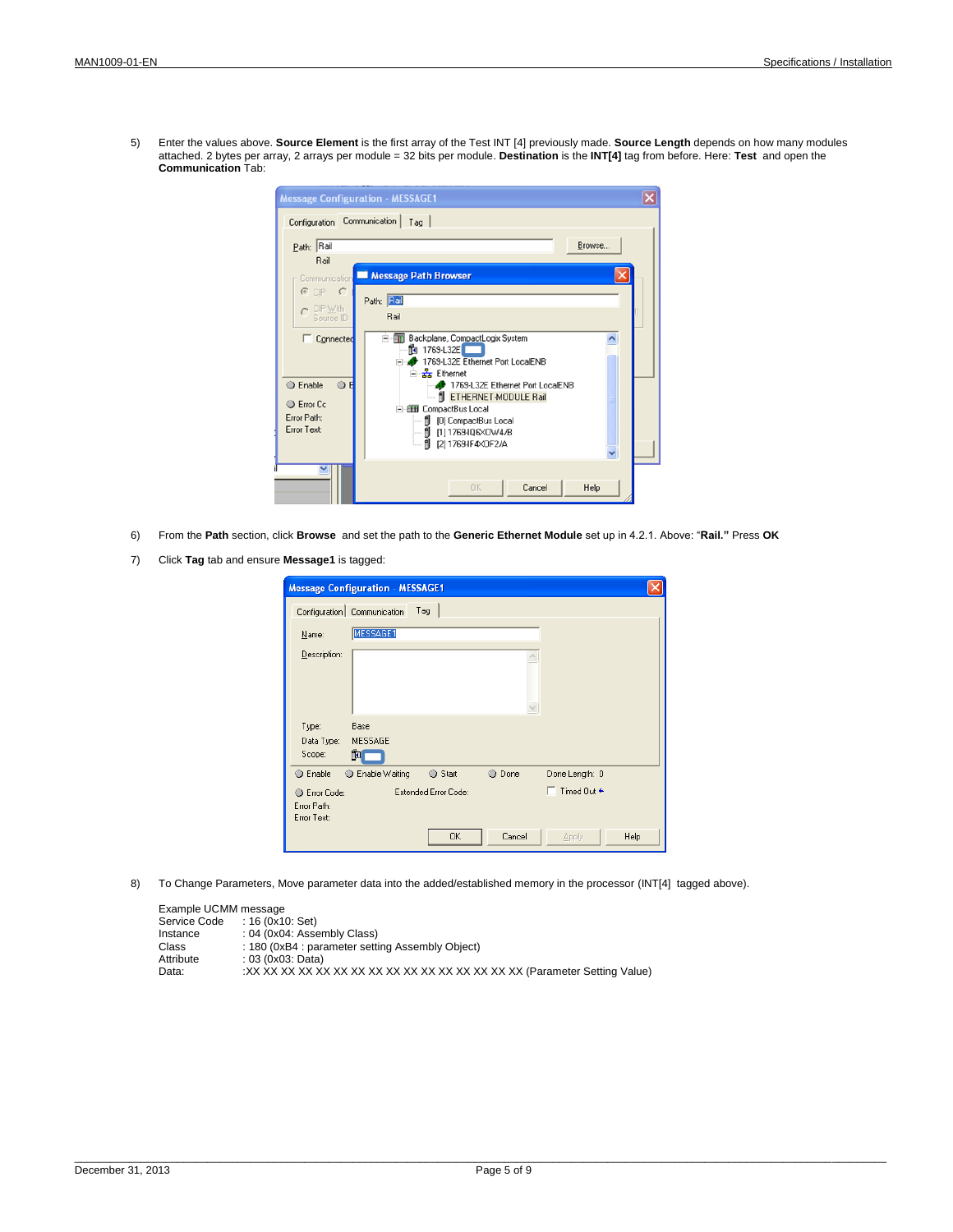5) Enter the values above. **Source Element** is the first array of the Test INT [4] previously made. **Source Length** depends on how many modules attached. 2 bytes per array, 2 arrays per module = 32 bits per module. **Destination** is the **INT[4]** tag from before. Here: **Test** and open the **Communication** Tab:

| Configuration                                                                                       | <b>Message Configuration - MESSAGE1</b><br>Communication<br>Tag                                                                                                                                                                                                                             |  |
|-----------------------------------------------------------------------------------------------------|---------------------------------------------------------------------------------------------------------------------------------------------------------------------------------------------------------------------------------------------------------------------------------------------|--|
| Path: Rail<br>Rail<br>Communication<br>$C$ or $C$<br>CIP With                                       | Browse<br>Message Path Browser<br>Path: Bail<br>Rail                                                                                                                                                                                                                                        |  |
| Source ID<br>Connected<br><b>Enable</b><br>O.<br>F<br><b>Error</b> Cc<br>Error Path:<br>Error Text: | E Fill Backplane, CompactLogix System<br>^<br>$\frac{1}{2}$ 1769-L32E<br>1769-L32E Ethernet Port LocalENB<br>- 공 Ethernet<br>1769-L32E Ethernet Port LocalENB<br>ETHERNET-MODULE Rail<br>白田 CompactBus Local<br>  [0] CompactBus Local<br>---- 1 [1] 1769-IQ6×OW4/B<br>  [2] 1769-IF4XOF2/A |  |
|                                                                                                     | <b>OK</b><br>Cancel<br>Help                                                                                                                                                                                                                                                                 |  |

- 6) From the **Path** section, click **Browse** and set the path to the **Generic Ethernet Module** set up in 4.2.1. Above: "**Rail."** Press **OK**
- 7) Click **Tag** tab and ensure **Message1** is tagged:

|                                           | <b>Message Configuration - MESSAGE1</b> |                      |               |                                                             |      |
|-------------------------------------------|-----------------------------------------|----------------------|---------------|-------------------------------------------------------------|------|
|                                           | Configuration   Communication           | Tag                  |               |                                                             |      |
| Name:                                     | MESSAGE1                                |                      |               |                                                             |      |
| Description:                              |                                         |                      |               |                                                             |      |
|                                           |                                         |                      |               |                                                             |      |
|                                           |                                         |                      |               |                                                             |      |
| Type:<br>Data Type:<br>Scope:             | Base<br>MESSAGE<br>跑                    |                      |               |                                                             |      |
| <b>Enable</b>                             | Enable Waiting                          | Start                | <b>O</b> Done | Done Length: 0                                              |      |
| Error Code:<br>Error Path:<br>Error Text: |                                         | Extended Error Code: |               | $\overline{\phantom{a}}$ Timed Dut $\overline{\phantom{a}}$ |      |
|                                           |                                         | 0K                   | Cancel        | Apply                                                       | Help |

8) To Change Parameters, Move parameter data into the added/established memory in the processor (INT[4] tagged above).

| Example UCMM message |                                                  |
|----------------------|--------------------------------------------------|
| Service Code         | : 16 (0x10: Set)                                 |
| Instance             | : 04 (0x04: Assembly Class)                      |
| Class                | : 180 (0xB4 : parameter setting Assembly Object) |
| Attribute            | : 03 (0x03; Data)                                |
| Data:                |                                                  |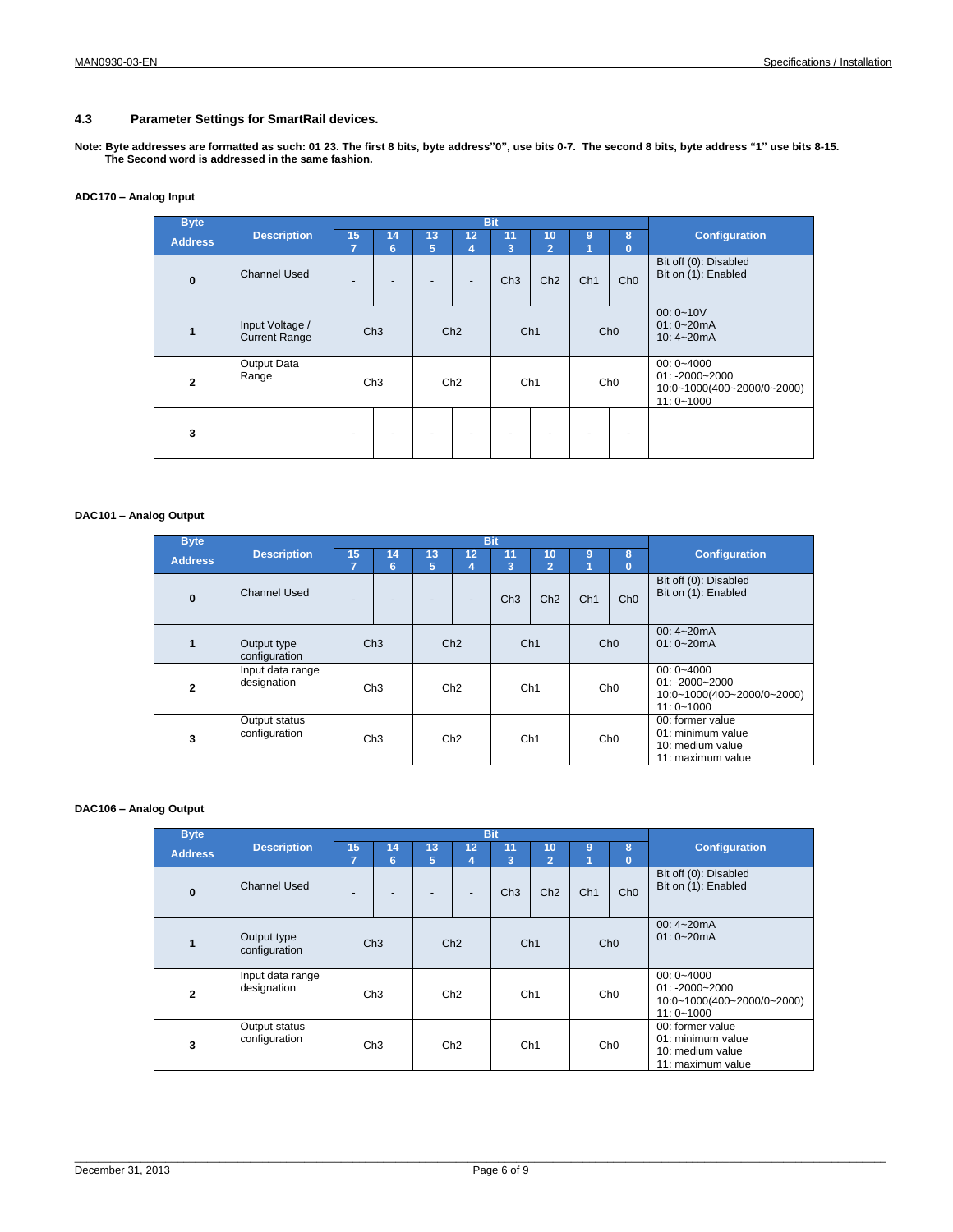## **4.3 Parameter Settings for SmartRail devices.**

**Note: Byte addresses are formatted as such: 01 23. The first 8 bits, byte address"0", use bits 0-7. The second 8 bits, byte address "1" use bits 8-15. The Second word is addressed in the same fashion.**

## **ADC170 – Analog Input**

| <b>Byte</b>    |                                         |                          |            |                          | <b>Bit</b> |                 |                      |     |                                                   |                                              |  |  |                 |                                                                                     |
|----------------|-----------------------------------------|--------------------------|------------|--------------------------|------------|-----------------|----------------------|-----|---------------------------------------------------|----------------------------------------------|--|--|-----------------|-------------------------------------------------------------------------------------|
| <b>Address</b> | <b>Description</b>                      | 15<br>$\overline{7}$     | 14<br>6    | 13<br>5                  | 12<br>4    | 11<br>3         | 10<br>$\overline{2}$ | 9   | 8<br>$\mathbf{0}$                                 | <b>Configuration</b>                         |  |  |                 |                                                                                     |
| $\mathbf 0$    | <b>Channel Used</b>                     | $\overline{\phantom{a}}$ |            |                          |            | Ch3             | Ch2                  | Ch1 | Ch <sub>0</sub>                                   | Bit off (0): Disabled<br>Bit on (1): Enabled |  |  |                 |                                                                                     |
| $\mathbf{1}$   | Input Voltage /<br><b>Current Range</b> |                          | Ch3<br>Ch2 |                          | Ch1        |                 | Ch <sub>0</sub>      |     | $00: 0 - 10V$<br>$01: 0 - 20mA$<br>10: $4 - 20mA$ |                                              |  |  |                 |                                                                                     |
| $\mathbf{2}$   | Output Data<br>Range                    | Ch3                      |            | Ch2                      |            | Ch <sub>1</sub> |                      |     |                                                   |                                              |  |  | Ch <sub>0</sub> | $00: 0 - 4000$<br>$01: -2000 - 2000$<br>10:0~1000(400~2000/0~2000)<br>$11:0 - 1000$ |
| 3              |                                         | ٠                        |            | $\overline{\phantom{0}}$ |            |                 |                      |     |                                                   |                                              |  |  |                 |                                                                                     |

## **DAC101 – Analog Output**

| <b>Byte</b>    |                                 |    |         |         |         | <b>Bit</b> |                      |                 |                 |                                              |                 |                                                                                |                 |  |                 |                                                                                     |
|----------------|---------------------------------|----|---------|---------|---------|------------|----------------------|-----------------|-----------------|----------------------------------------------|-----------------|--------------------------------------------------------------------------------|-----------------|--|-----------------|-------------------------------------------------------------------------------------|
| <b>Address</b> | <b>Description</b>              | 15 | 14<br>6 | 13<br>5 | 12<br>4 | 11<br>3    | 10<br>$\overline{2}$ | 9               | 8<br>0          | <b>Configuration</b>                         |                 |                                                                                |                 |  |                 |                                                                                     |
| $\bf{0}$       | Channel Used                    |    |         |         | -       | Ch3        | Ch2                  | Ch1             | Ch <sub>0</sub> | Bit off (0): Disabled<br>Bit on (1): Enabled |                 |                                                                                |                 |  |                 |                                                                                     |
| 1              | Output type<br>configuration    |    | Ch3     | Ch2     |         | Ch1        |                      | Ch <sub>0</sub> |                 | 00: $4 - 20mA$<br>$01: 0 - 20mA$             |                 |                                                                                |                 |  |                 |                                                                                     |
| $\mathbf{2}$   | Input data range<br>designation |    | Ch3     | Ch2     |         |            |                      |                 |                 |                                              |                 |                                                                                | Ch <sub>1</sub> |  | Ch <sub>0</sub> | $00: 0 - 4000$<br>$01: -2000 - 2000$<br>10:0~1000(400~2000/0~2000)<br>$11:0 - 1000$ |
| 3              | Output status<br>configuration  |    | Ch3     | Ch2     |         |            |                      |                 | Ch <sub>1</sub> |                                              | Ch <sub>0</sub> | 00: former value<br>01: minimum value<br>10: medium value<br>11: maximum value |                 |  |                 |                                                                                     |

### **DAC106 – Analog Output**

| <b>Byte</b>    |                                 |    |                 |         |                          | <b>Bit</b>      |         |                 |                 |                                                                                     |
|----------------|---------------------------------|----|-----------------|---------|--------------------------|-----------------|---------|-----------------|-----------------|-------------------------------------------------------------------------------------|
| <b>Address</b> | <b>Description</b>              | 15 | 14<br>6         | 13<br>5 | 12<br>4                  | 11<br>3         | 10<br>2 | 9<br>и          | 8<br>$\bf{0}$   | <b>Configuration</b>                                                                |
| $\bf{0}$       | Channel Used                    |    |                 |         | $\overline{\phantom{a}}$ | Ch3             | Ch2     | Ch1             | Ch <sub>0</sub> | Bit off (0): Disabled<br>Bit on (1): Enabled                                        |
| $\mathbf{1}$   | Output type<br>configuration    |    | Ch3             |         | Ch2                      |                 | Ch1     |                 | Ch <sub>0</sub> | $00:4 - 20mA$<br>$01: 0 - 20mA$                                                     |
| $\overline{2}$ | Input data range<br>designation |    | Ch <sub>3</sub> | Ch2     |                          | Ch <sub>1</sub> |         | Ch <sub>0</sub> |                 | $00: 0 - 4000$<br>$01: -2000 - 2000$<br>10:0~1000(400~2000/0~2000)<br>$11:0 - 1000$ |
| 3              | Output status<br>configuration  |    | Ch <sub>3</sub> | Ch2     |                          | Ch <sub>1</sub> |         | Ch <sub>0</sub> |                 | 00: former value<br>01: minimum value<br>10: medium value<br>11: maximum value      |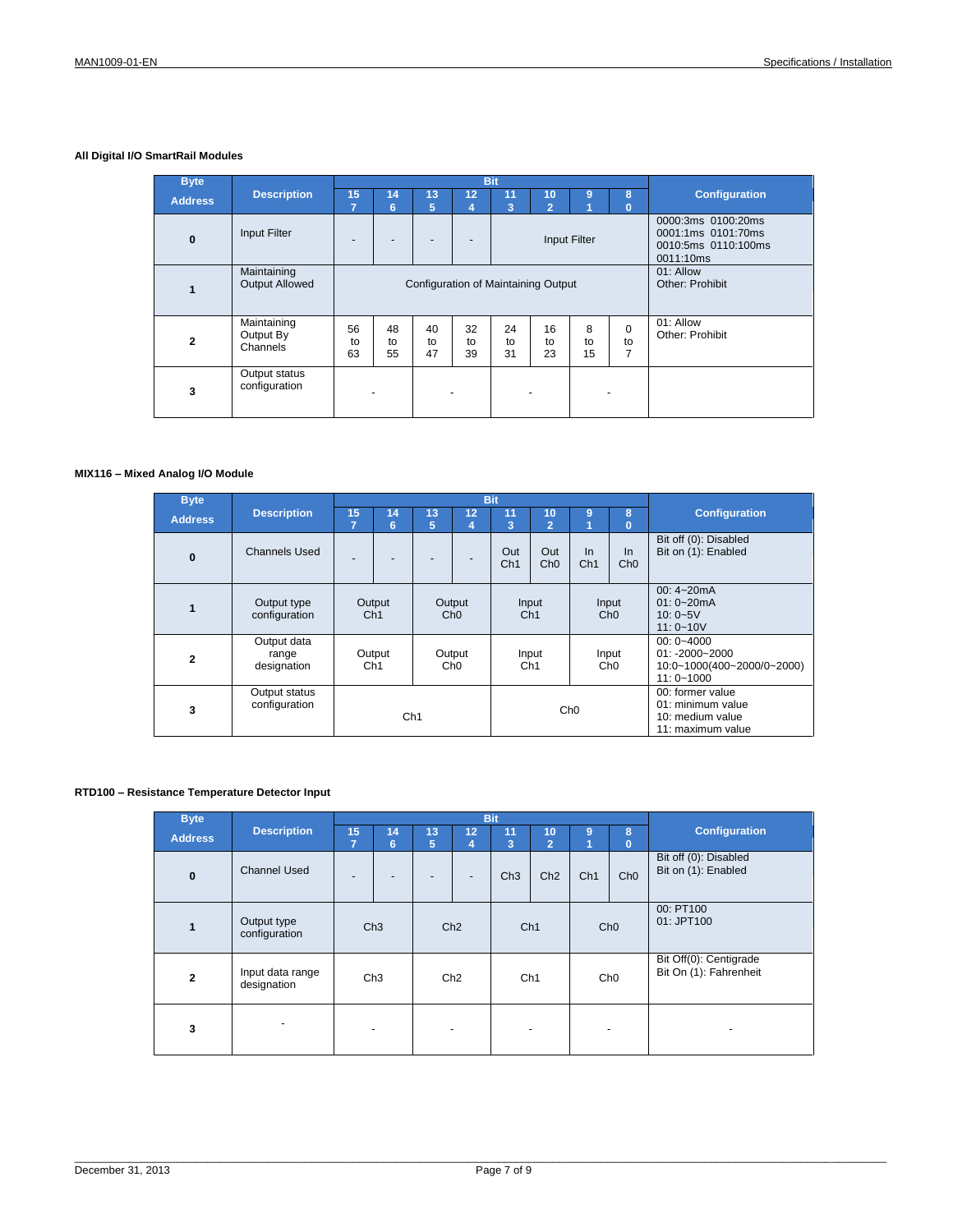## **All Digital I/O SmartRail Modules**

| <b>Byte</b>    |                                      |                |                                     |                |                |                |                      |               |                     |                                                                              |
|----------------|--------------------------------------|----------------|-------------------------------------|----------------|----------------|----------------|----------------------|---------------|---------------------|------------------------------------------------------------------------------|
| <b>Address</b> | <b>Description</b>                   | 15<br>7        | 14<br>6                             | 13<br>5        | 12<br>4        | 11<br>в        | 10<br>$\overline{2}$ | 9<br>и        | 8<br>$\overline{0}$ | <b>Configuration</b>                                                         |
| $\mathbf 0$    | Input Filter                         |                |                                     |                |                |                |                      | Input Filter  |                     | 0000:3ms 0100:20ms<br>0001:1ms 0101:70ms<br>0010:5ms 0110:100ms<br>0011:10ms |
| 1              | Maintaining<br><b>Output Allowed</b> |                | Configuration of Maintaining Output |                |                |                |                      |               |                     | 01: Allow<br>Other: Prohibit                                                 |
| $\mathbf{2}$   | Maintaining<br>Output By<br>Channels | 56<br>to<br>63 | 48<br>to<br>55                      | 40<br>to<br>47 | 32<br>to<br>39 | 24<br>to<br>31 | 16<br>to<br>23       | 8<br>to<br>15 | $\Omega$<br>to<br>7 | 01: Allow<br>Other: Prohibit                                                 |
| 3              | Output status<br>configuration       |                |                                     |                |                |                |                      |               |                     |                                                                              |

## **MIX116 – Mixed Analog I/O Module**

| <b>Byte</b>    |                                     |                                                                                                                 |                           |                 |                           | <b>Bit</b> |                             |                 |                          |                                                                                |                                                                                     |
|----------------|-------------------------------------|-----------------------------------------------------------------------------------------------------------------|---------------------------|-----------------|---------------------------|------------|-----------------------------|-----------------|--------------------------|--------------------------------------------------------------------------------|-------------------------------------------------------------------------------------|
| <b>Address</b> | <b>Description</b>                  | 15                                                                                                              | 14<br>6                   | 13<br>5         | 12<br>4                   | 11<br>3    | 10<br>$\mathbf{2}^{\prime}$ | 9               | 8<br>$\bf{0}$            | <b>Configuration</b>                                                           |                                                                                     |
| $\mathbf 0$    | Channels Used                       |                                                                                                                 |                           |                 |                           | Out<br>Ch1 | Out<br>Ch <sub>0</sub>      | In<br>Ch1       | $\ln$<br>Ch <sub>0</sub> | Bit off (0): Disabled<br>Bit on (1): Enabled                                   |                                                                                     |
| $\mathbf{1}$   | Output type<br>configuration        |                                                                                                                 | Output<br>Ch <sub>1</sub> |                 | Output<br>Ch <sub>0</sub> |            | Input<br>Ch1                |                 | Input<br>Ch <sub>0</sub> | 00: $4 - 20mA$<br>$01: 0 - 20mA$<br>$10:0 - 5V$<br>$11:0 - 10V$                |                                                                                     |
| $\mathbf{2}$   | Output data<br>range<br>designation | Output<br>Output<br>Input<br>Input<br>C <sub>h</sub> 0<br>Ch <sub>0</sub><br>Ch <sub>1</sub><br>Ch <sub>1</sub> |                           |                 |                           |            |                             |                 |                          |                                                                                | $00: 0 - 4000$<br>$01: -2000 - 2000$<br>10:0~1000(400~2000/0~2000)<br>$11:0 - 1000$ |
| 3              | Output status<br>configuration      |                                                                                                                 |                           | Ch <sub>1</sub> |                           |            |                             | Ch <sub>0</sub> |                          | 00: former value<br>01: minimum value<br>10: medium value<br>11: maximum value |                                                                                     |

### **RTD100 – Resistance Temperature Detector Input**

| <b>Byte</b>    |                                 |         |                 |         | <b>Bit</b>           |                       |                      |                  |                 |                                                  |
|----------------|---------------------------------|---------|-----------------|---------|----------------------|-----------------------|----------------------|------------------|-----------------|--------------------------------------------------|
| <b>Address</b> | <b>Description</b>              | 15<br>7 | 14<br>6         | 13<br>5 | 12 <sub>2</sub><br>4 | 11<br>$\vert 3 \vert$ | 10<br>$\overline{2}$ | 9<br>1           | 8<br>$\bf{0}$   | <b>Configuration</b>                             |
| $\bf{0}$       | <b>Channel Used</b>             |         |                 |         |                      | Ch3                   | Ch2                  | Ch1              | Ch <sub>0</sub> | Bit off (0): Disabled<br>Bit on (1): Enabled     |
| 1              | Output type<br>configuration    |         | Ch3             | Ch2     |                      | Ch1                   |                      | Ch <sub>0</sub>  |                 | 00: PT100<br>01: JPT100                          |
| $\mathbf{2}$   | Input data range<br>designation |         | Ch <sub>3</sub> | Ch2     |                      | Ch <sub>1</sub>       |                      | C <sub>h</sub> 0 |                 | Bit Off(0): Centigrade<br>Bit On (1): Fahrenheit |
| 3              |                                 |         |                 |         |                      |                       | -                    |                  | -               | $\overline{\phantom{0}}$                         |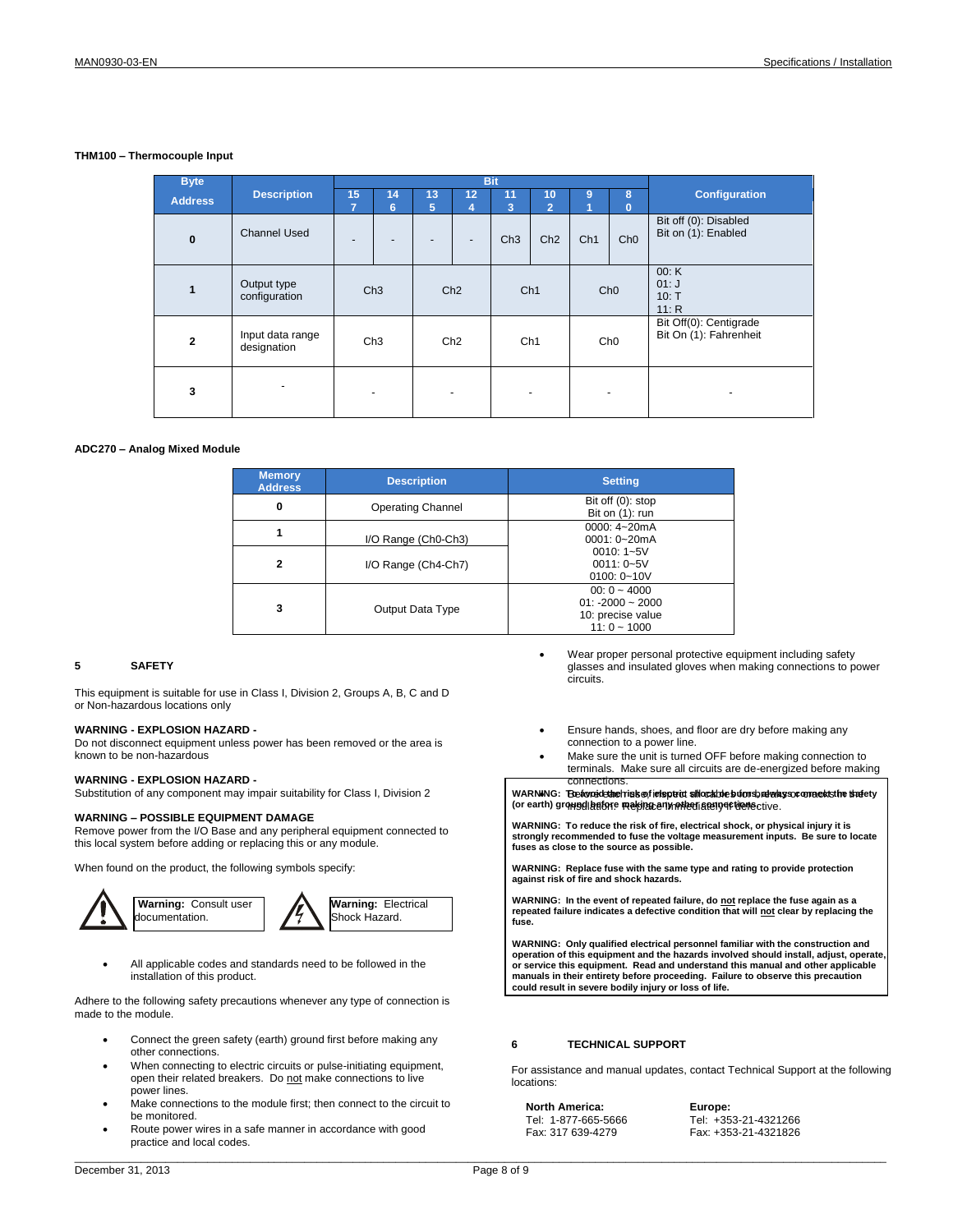### **THM100 – Thermocouple Input**

| <b>Byte</b>    |                                 |         |                          |                          |                          | <b>Bit</b>      |                      |                 |                   |                                                  |
|----------------|---------------------------------|---------|--------------------------|--------------------------|--------------------------|-----------------|----------------------|-----------------|-------------------|--------------------------------------------------|
| <b>Address</b> | <b>Description</b>              | 15<br>7 | 14<br>6                  | 13<br>5                  | 12<br>4                  | 11<br>3         | 10<br>$\overline{2}$ | 9<br>n          | 8<br>$\mathbf{0}$ | <b>Configuration</b>                             |
| $\bf{0}$       | Channel Used                    |         | $\overline{\phantom{0}}$ | $\overline{\phantom{a}}$ | $\overline{\phantom{a}}$ | Ch <sub>3</sub> | Ch2                  | Ch <sub>1</sub> | Ch <sub>0</sub>   | Bit off (0): Disabled<br>Bit on (1): Enabled     |
| $\mathbf{1}$   | Output type<br>configuration    | Ch3     |                          | Ch2                      |                          | Ch <sub>1</sub> |                      | Ch <sub>0</sub> |                   | 00: K<br>01:J<br>10: T<br>11: R                  |
| $\mathbf{2}$   | Input data range<br>designation |         | Ch <sub>3</sub>          | Ch2                      |                          | Ch <sub>1</sub> |                      | Ch <sub>0</sub> |                   | Bit Off(0): Centigrade<br>Bit On (1): Fahrenheit |
| 3              |                                 |         |                          |                          |                          |                 |                      |                 |                   |                                                  |

#### **ADC270 – Analog Mixed Module**

| <b>Memory</b><br><b>Address</b> | <b>Description</b>       | <b>Setting</b>                                                            |  |  |  |  |
|---------------------------------|--------------------------|---------------------------------------------------------------------------|--|--|--|--|
| 0                               | <b>Operating Channel</b> | Bit off (0): stop<br>Bit on $(1)$ : run                                   |  |  |  |  |
|                                 | I/O Range (Ch0-Ch3)      | 0000: 4~20mA<br>0001: 0~20mA                                              |  |  |  |  |
| $\overline{2}$                  | I/O Range (Ch4-Ch7)      | $0010:1 - 5V$<br>$0011: 0 - 5V$<br>0100: $0 - 10V$                        |  |  |  |  |
| 3                               | Output Data Type         | $00:0 - 4000$<br>$01: -2000 - 2000$<br>10: precise value<br>$11:0 - 1000$ |  |  |  |  |

#### **5 SAFETY**

This equipment is suitable for use in Class I, Division 2, Groups A, B, C and D or Non-hazardous locations only

#### **WARNING - EXPLOSION HAZARD -**

Do not disconnect equipment unless power has been removed or the area is known to be non-hazardous

#### **WARNING - EXPLOSION HAZARD -**

Substitution of any component may impair suitability for Class I, Division 2

## **WARNING – POSSIBLE EQUIPMENT DAMAGE**

Remove power from the I/O Base and any peripheral equipment connected to this local system before adding or replacing this or any module.

When found on the product, the following symbols specify:







 All applicable codes and standards need to be followed in the installation of this product.

Adhere to the following safety precautions whenever any type of connection is made to the module.

- Connect the green safety (earth) ground first before making any other connections.
- When connecting to electric circuits or pulse-initiating equipment, open their related breakers. Do not make connections to live power lines.
- Make connections to the module first; then connect to the circuit to be monitored.
- Route power wires in a safe manner in accordance with good practice and local codes.
- Wear proper personal protective equipment including safety glasses and insulated gloves when making connections to power circuits.
- Ensure hands, shoes, and floor are dry before making any connection to a power line.
- Make sure the unit is turned OFF before making connection to terminals. Make sure all circuits are de-energized before making connections.

WARNING: Beavoid the risk of elspeix shock de burns, always comnects the statety (or earth) ground before making any other seny of the ective.

**WARNING: To reduce the risk of fire, electrical shock, or physical injury it is strongly recommended to fuse the voltage measurement inputs. Be sure to locate fuses as close to the source as possible.**

**WARNING: Replace fuse with the same type and rating to provide protection against risk of fire and shock hazards.** 

WARNING: In the event of repeated failure, do <u>not</u> replace the fuse again as a<br>repeated failure indicates a defective condition that will <u>not</u> clear by replacing the **fuse.** 

**WARNING: Only qualified electrical personnel familiar with the construction and operation of this equipment and the hazards involved should install, adjust, operate, or service this equipment. Read and understand this manual and other applicable manuals in their entirety before proceeding. Failure to observe this precaution could result in severe bodily injury or loss of life.**

#### **6 TECHNICAL SUPPORT**

For assistance and manual updates, contact Technical Support at the following locations:

**North America:**  Tel: 1-877-665-5666 Fax: 317 639-4279

**Europe:**  Tel: +353-21-4321266 Fax: +353-21-4321826